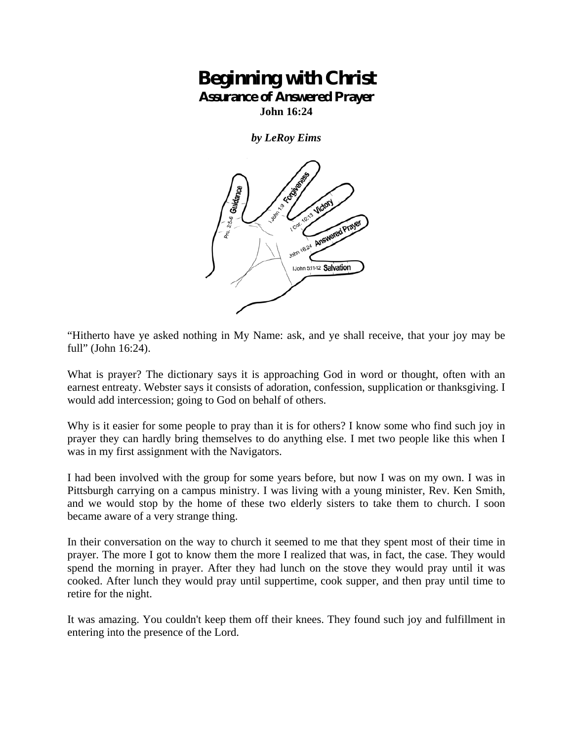## **Beginning with Christ Assurance of Answered Prayer**

**John 16:24** 

*by LeRoy Eims* 



"Hitherto have ye asked nothing in My Name: ask, and ye shall receive, that your joy may be full" (John 16:24).

What is prayer? The dictionary says it is approaching God in word or thought, often with an earnest entreaty. Webster says it consists of adoration, confession, supplication or thanksgiving. I would add intercession; going to God on behalf of others.

Why is it easier for some people to pray than it is for others? I know some who find such joy in prayer they can hardly bring themselves to do anything else. I met two people like this when I was in my first assignment with the Navigators.

I had been involved with the group for some years before, but now I was on my own. I was in Pittsburgh carrying on a campus ministry. I was living with a young minister, Rev. Ken Smith, and we would stop by the home of these two elderly sisters to take them to church. I soon became aware of a very strange thing.

In their conversation on the way to church it seemed to me that they spent most of their time in prayer. The more I got to know them the more I realized that was, in fact, the case. They would spend the morning in prayer. After they had lunch on the stove they would pray until it was cooked. After lunch they would pray until suppertime, cook supper, and then pray until time to retire for the night.

It was amazing. You couldn't keep them off their knees. They found such joy and fulfillment in entering into the presence of the Lord.